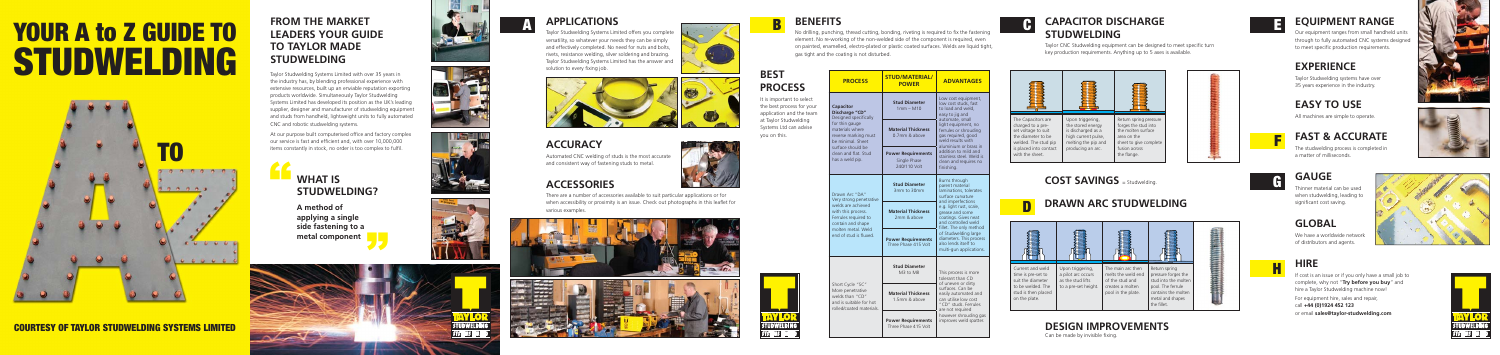## A to Z GUI **DWEIT** <u>SDWELDING</u> YOUR A to Z GUIDE TO STUDWELDING

#### COURTESY OF TAYLOR STUDWELDING SYSTEMS LIMITED COURTESY OF TAYLOR STUDWELDING SYSTEMS LIMITED



#### **FROM THE MARKET LEADERS YOUR GUIDE TO TAYLOR MADE STUDWELDING**

#### **APPLICATIONS**<br>A **B EXECUTOR DISCHARGE BENEFITS CAPACITOR DISCHARGE STUDWELDING**

Taylor Studwelding Systems Limited with over 35 years in the industry has, by blending professional experience with extensive resources, built up an enviable reputation exporting products worldwide. Simultaneously Taylor Studwelding Systems Limited has developed its position as the UK's leading supplier, designer and manufacturer of studwelding equipment and studs from handheld, lightweight units to fully automated CNC and robotic studwelding systems.

> If cost is an issue or if you only have a small job to complete, why not "**Try before you buy**" and hire a Taylor Studwelding machine now!

At our purpose built computerised office and factory complex our service is fast and efficient and, with over 10,000,000 items constantly in stock, no order is too complex to fulfil.

Taylor CNC Studwelding equipment can be designed to meet specific turn key production requirements. Anything up to 5 axes is available.

aylor Studwelding Systems Limited offers you complete versatility, so whatever your needs they can be simply and effectively completed. No need for nuts and bolts, rivets, resistance welding, silver soldering and brazing. Taylor Studwelding Systems Limited has the answer and solution to every fixing job.





#### **EQUIPMENT RANGE**

Our equipment ranges from small handheld units through to fully automated CNC systems designed to meet specific production requirements.

#### **EXPERIENCE**

Taylor Studwelding systems have over 35 years experience in the industry.

#### **EASY TO USE**

All machines are simple to operate.

#### **FAST & ACCURATE**

The studwelding process is completed in a matter of milliseconds.

# H **HIRE**

For equipment hire, sales and repair, call **+44 (0)1924 452 123** or email **sales@taylor-studwelding.com**









#### **DRAWN ARC STUDWELDING**

**COST SAVINGS** = Studwelding.

#### **APPLICATIONS**

#### **ACCURACY**

Automated CNC welding of studs is the most accurate and consistent way of fastening studs to metal.

#### **PROCESS STUD/MATERIAL POWER ADVANTAGES Capacitor Discharge "CD"** Designed specifically for thin gauge materials where reverse marking must be minimal. Sheet surface should be clean and flat. Stud has a weld pip. **Stud Diameter**  1mm – M10 Low cost equipment low cost studs, fast to load and weld, easy to jig and automate, small light equipment, no ferrules or shrouding gas required, good weld results with aluminium or brass in addition to mild and stainless steel. Weld is clean and requires no finishing. **Material Thickness** 0.7mm & above *<u>Ower Requirement</u>* Single Phase 240/110 Volt Drawn Arc "DA" Very strong penetrativ welds are achieved with this process. Ferrules required to contain and shape molten metal. Weld end of stud is fluxe. **Stud Diameter**  3mm to 30mm Burns through parent material laminations, tolerates surface curvature and imperfections e.g. light rust, scale, grease and some coatings. Gives neat and controlled weld fillet. The only method of Studwelding large diameters. This proces also lends itself to multi-gun application **Material Thickness** 2mm & above **Power Requirements** Three Phase 415 Volt Short Cycle "SC" More penetrative welds than "CD" and is suitable for hot rolled/coated material **Stud Diameter**  M3 to M8 This process is more tolerant than CD of uneven or dirty surfaces. Can be easily automated and can utilise low cost "CD" studs. Ferrules are not required however shrouding gas improves weld spatter. **Material Thickness** 1.5mm & above **Power Requirement** element. No re-working of the non-welded side of the component is required, even on painted, enamelled, electro-plated or plastic coated surfaces. Welds are liquid tight, gas tight and the coating is not disturbed.

No drilling, punching, thread cutting, bonding, riveting is required to fix the fastening  $\Box$ 

Thinner material can be used when studwelding, leading to significant cost saving.

Three Phase 415 Volt



| The Capacitors are<br>charged to a pre-<br>set voltage to suit<br>the diameter to be<br>welded. The stud pip<br>is placed into contact<br>with the sheet. | Upc<br>the<br>is di<br>high<br>mel<br>pro |
|-----------------------------------------------------------------------------------------------------------------------------------------------------------|-------------------------------------------|
|                                                                                                                                                           |                                           |





## **DESIGN IMPROVEMENTS**

Can be made by invisible fixing.



















#### **ACCESSORIES**

There are a number of accessories available to suit particular applications or for when accessibility or proximity is an issue. Check out photographs in this leaflet for various examples.









## " **WHAT IS STUDWELDING?**

**A method of applying a single side fastening to a metal component**

**BEST** 

**PROCESS**

. the best process for your It is important to select

application and the team at Taylor Studwelding Systems Ltd can advise

you on this.

#### **GLOBAL**

We have a worldwide network of distributors and agents.

#### G **GAUGE**